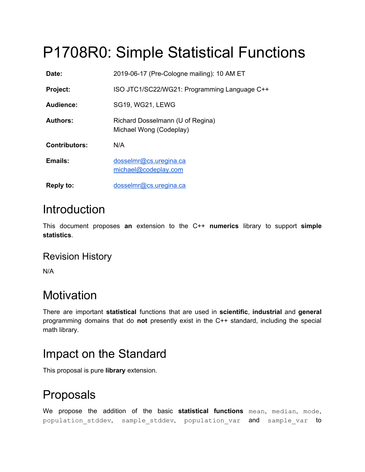# P1708R0: Simple Statistical Functions

| Date:                | 2019-06-17 (Pre-Cologne mailing): 10 AM ET                  |
|----------------------|-------------------------------------------------------------|
| <b>Project:</b>      | ISO JTC1/SC22/WG21: Programming Language C++                |
| Audience:            | <b>SG19, WG21, LEWG</b>                                     |
| <b>Authors:</b>      | Richard Dosselmann (U of Regina)<br>Michael Wong (Codeplay) |
| <b>Contributors:</b> | N/A                                                         |
| Emails:              | dosselmr@cs.uregina.ca<br>michael@codeplay.com              |
| <b>Reply to:</b>     | dosselmr@cs.uregina.ca                                      |

## **Introduction**

This document proposes **an** extension to the C++ **numerics** library to support **simple statistics**.

### Revision History

N/A

## **Motivation**

There are important **statistical** functions that are used in **scientific**, **industrial** and **general** programming domains that do **not** presently exist in the C++ standard, including the special math library.

### Impact on the Standard

This proposal is pure **library** extension.

## Proposals

We propose the addition of the basic **statistical functions** mean, median, mode, population stddev, sample stddev, population var and sample var to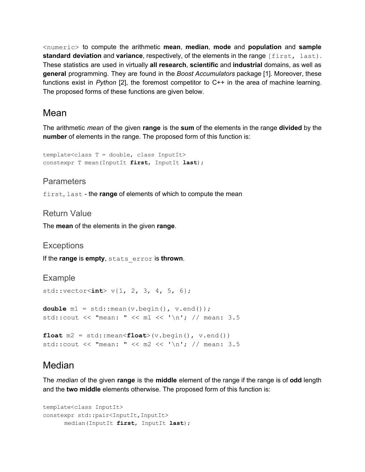<numeric> to compute the arithmetic **mean**, **median**, **mode** and **population** and **sample standard deviation** and **variance**, respectively, of the elements in the range [first, last). These statistics are used in virtually **all research**, **scientific** and **industrial** domains, as well as **general** programming. They are found in the *Boost Accumulators* package [1]. Moreover, these functions exist in *Python* [2], the foremost competitor to C++ in the area of machine learning. The proposed forms of these functions are given below.

### Mean

The arithmetic *mean* of the given **range** is the **sum** of the elements in the range **divided** by the **number** of elements in the range. The proposed form of this function is:

```
template<class T = double, class InputIt>
constexpr T mean(InputIt first, InputIt last);
```
#### Parameters

first, last - the **range** of elements of which to compute the mean

#### Return Value

The **mean** of the elements in the given **range**.

#### **Exceptions**

If the **range** is **empty**, stats\_error is **thrown**.

#### Example

std::vector<**int**> v{1, 2, 3, 4, 5, 6};

```
double m1 = std::mean(v.begin(), v.end());
std::cout << "mean: " << m1 << '\n'; // mean: 3.5
```

```
float m2 = std:mean <b>float</b>>(v.begin()), v.end()std::cout << "mean: " << m2 << '\n'; // mean: 3.5
```
### Median

The *median* of the given **range** is the **middle** element of the range if the range is of **odd** length and the **two middle** elements otherwise. The proposed form of this function is:

```
template<class InputIt>
constexpr std::pair<InputIt, InputIt>
      median(InputIt first, InputIt last);
```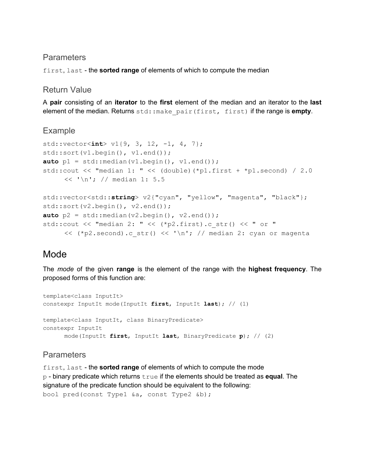#### **Parameters**

first, last - the **sorted range** of elements of which to compute the median

#### Return Value

A **pair** consisting of an **iterator** to the **first** element of the median and an iterator to the **last** element of the median. Returns std::make\_pair(first, first) if the range is **empty**.

#### Example

```
std::vector<int> v1{9, 3, 12, -1, 4, 7};
std::sort(v1.begin(), v1.end());
auto p1 = std::median(v1.begin(), v1.end());
std::cout << "median 1: " << (double)(*p1.first + *p1.second) / 2.0
     << '\n'; // median 1: 5.5
std::vector<std::string> v2{"cyan", "yellow", "magenta", "black"};
std::sort(v2.begin(), v2.end());
auto p2 = std:median(v2.begin(), v2.end());std::cout << "median 2: " << (*p2.first).c str() << " or "
     << (*p2.second).c str() << '\n'; // median 2: cyan or magenta
```
### Mode

The *mode* of the given **range** is the element of the range with the **highest frequency**. The proposed forms of this function are:

template<class InputIt> constexpr InputIt mode(InputIt **first**, InputIt **last**); // (1) template<class InputIt, class BinaryPredicate> constexpr InputIt mode(InputIt **first**, InputIt **last**, BinaryPredicate **p**); // (2)

#### **Parameters**

first, last - the **sorted range** of elements of which to compute the mode p - binary predicate which returns true if the elements should be treated as **equal**. The signature of the predicate function should be equivalent to the following: bool pred(const Type1 &a, const Type2 &b);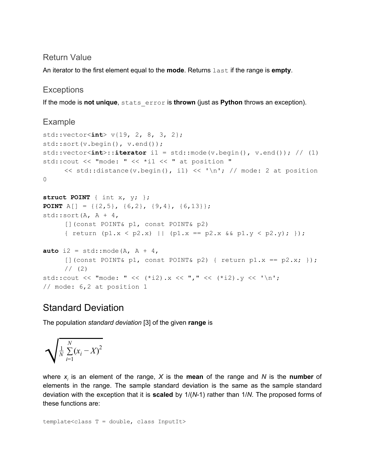#### Return Value

An iterator to the first element equal to the **mode**. Returns last if the range is **empty**.

#### **Exceptions**

If the mode is **not unique**, stats\_error is **thrown** (just as **Python** throws an exception).

#### Example

```
std::vector<int> v{19, 2, 8, 3, 2};
std::sort(v.begin(), v.end());
std::vector<int>::iterator i1 = std::mode(v.begin(), v.end()); // (1)
std::cout << "mode: " << *i1 << " at position "
     \ll std::distance(v.begin(), i1) \ll '\n'; // mode: 2 at position
0
struct POINT { int x, y; };
POINT A[] = {{2,5}, {6,2}, {9,4}, {6,13}};
std::sort(A, A + 4,[](const POINT& p1, const POINT& p2)
     { return (p1.x < p2.x) || (p1.x == p2.x &amp; p1.y < p2.y); });
auto i2 = std:: mode (A, A + 4,
     [ (const POINT& p1, const POINT& p2) { return p1.x == p2.x; });
     1/ (2)std::cout << "mode: " << (*i2).x << "," << (*i2).y << '\n';
// mode: 6,2 at position 1
```
### Standard Deviation

The population *standard deviation* [3] of the given **range** is

$$
\sqrt{\frac{1}{N}\sum_{i=1}^{N}(x_i - X)^2}
$$

where *x<sup>i</sup>* is an element of the range, *X* is the **mean** of the range and *N* is the **number** of elements in the range. The sample standard deviation is the same as the sample standard deviation with the exception that it is **scaled** by 1/(*N*-1) rather than 1/*N*. The proposed forms of these functions are:

template<class T = double, class InputIt>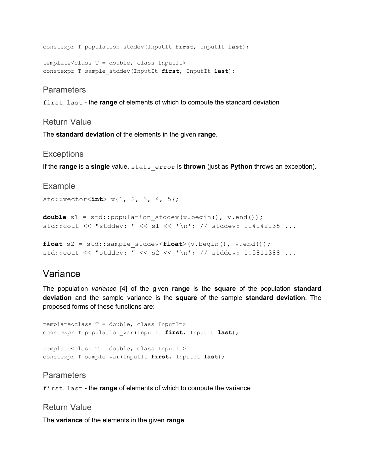constexpr T population\_stddev(InputIt **first**, InputIt **last**);

```
template<class T = double, class InputIt>
constexpr T sample_stddev(InputIt first, InputIt last);
```
#### **Parameters**

first, last - the **range** of elements of which to compute the standard deviation

#### Return Value

The **standard deviation** of the elements in the given **range**.

#### **Exceptions**

If the **range** is a **single** value, stats\_error is **thrown** (just as **Python** throws an exception).

#### Example

std::vector<**int**> v{1, 2, 3, 4, 5};

**double** s1 = std::population stddev(v.begin(), v.end()); std::cout << "stddev: " << s1 << '\n'; // stddev: 1.4142135 ...

```
float s2 = std::sample_stddev<float>(v.begin(), v.end());
std::cout << "stddev: " << s2 << '\n'; // stddev: 1.5811388 ...
```
### Variance

The population *variance* [4] of the given **range** is the **square** of the population **standard deviation** and the sample variance is the **square** of the sample **standard deviation**. The proposed forms of these functions are:

template<class T = double, class InputIt> constexpr T population\_var(InputIt **first**, InputIt **last**);

template<class T = double, class InputIt> constexpr T sample\_var(InputIt **first**, InputIt **last**);

#### **Parameters**

first, last - the **range** of elements of which to compute the variance

#### Return Value

The **variance** of the elements in the given **range**.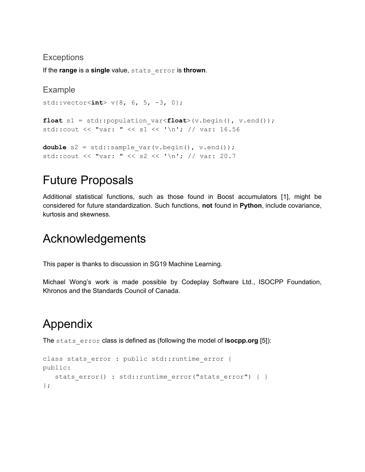#### **Exceptions**

If the **range** is a **single** value, stats\_error is **thrown**.

```
Example
std::vector<int> v{8, 6, 5, -3, 0};
float s1 = std::population_var<float>(v.begin(), v.end());
std::cout << "var: " << s1 << '\n'; // var: 16.56
double s2 = std::sample var(v.begin(), v.end());
std::cout << "var: " << s2 << '\n'; // var: 20.7
```
## Future Proposals

Additional statistical functions, such as those found in Boost accumulators [1], might be considered for future standardization. Such functions, **not** found in **Python**, include covariance, kurtosis and skewness.

### Acknowledgements

This paper is thanks to discussion in SG19 Machine Learning.

Michael Wong's work is made possible by Codeplay Software Ltd., ISOCPP Foundation, Khronos and the Standards Council of Canada.

## Appendix

The stats error class is defined as (following the model of **isocpp.org** [5]):

```
class stats error : public std::runtime error {
public:
   stats error() : std::runtime error("stats error") { }
};
```